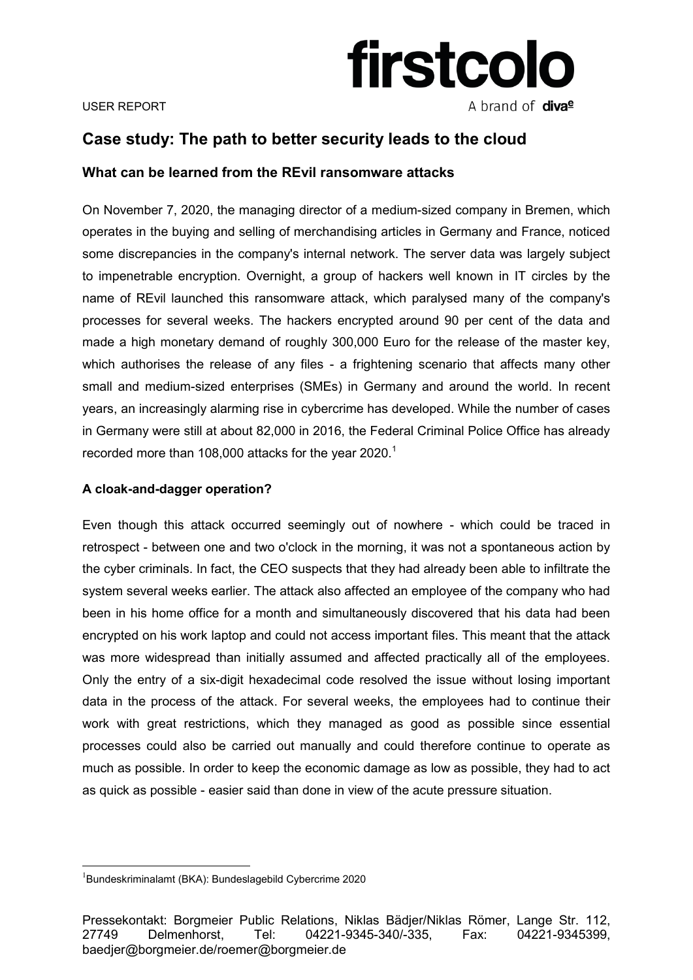

### USER REPORT

# **Case study: The path to better security leads to the cloud**

# **What can be learned from the REvil ransomware attacks**

On November 7, 2020, the managing director of a medium-sized company in Bremen, which operates in the buying and selling of merchandising articles in Germany and France, noticed some discrepancies in the company's internal network. The server data was largely subject to impenetrable encryption. Overnight, a group of hackers well known in IT circles by the name of REvil launched this ransomware attack, which paralysed many of the company's processes for several weeks. The hackers encrypted around 90 per cent of the data and made a high monetary demand of roughly 300,000 Euro for the release of the master key, which authorises the release of any files - a frightening scenario that affects many other small and medium-sized enterprises (SMEs) in Germany and around the world. In recent years, an increasingly alarming rise in cybercrime has developed. While the number of cases in Germany were still at about 82,000 in 2016, the Federal Criminal Police Office has already recorded more than 108,000 attacks for the year 2020.<sup>1</sup>

# **A cloak-and-dagger operation?**

Even though this attack occurred seemingly out of nowhere - which could be traced in retrospect - between one and two o'clock in the morning, it was not a spontaneous action by the cyber criminals. In fact, the CEO suspects that they had already been able to infiltrate the system several weeks earlier. The attack also affected an employee of the company who had been in his home office for a month and simultaneously discovered that his data had been encrypted on his work laptop and could not access important files. This meant that the attack was more widespread than initially assumed and affected practically all of the employees. Only the entry of a six-digit hexadecimal code resolved the issue without losing important data in the process of the attack. For several weeks, the employees had to continue their work with great restrictions, which they managed as good as possible since essential processes could also be carried out manually and could therefore continue to operate as much as possible. In order to keep the economic damage as low as possible, they had to act as quick as possible - easier said than done in view of the acute pressure situation.

 $\overline{a}$ 

<sup>1</sup> Bundeskriminalamt (BKA): Bundeslagebild Cybercrime 2020

Pressekontakt: Borgmeier Public Relations, Niklas Bädjer/Niklas Römer, Lange Str. 112, 27749 Delmenhorst, Tel: 04221-9345-340/-335, Fax: 04221-9345399, baedjer@borgmeier.de/roemer@borgmeier.de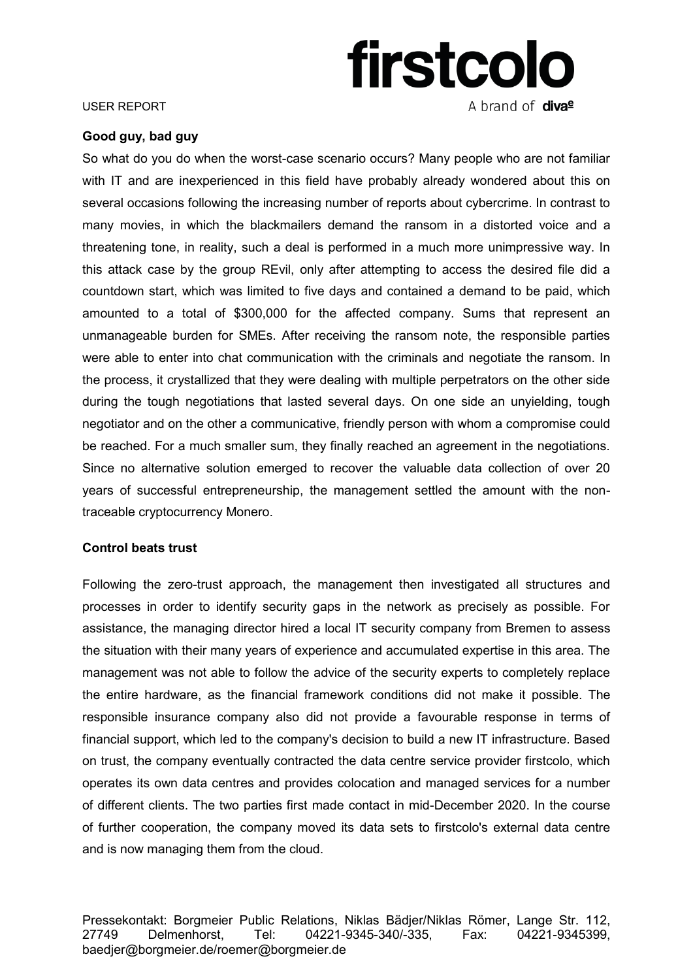

### USER REPORT

# **Good guy, bad guy**

So what do you do when the worst-case scenario occurs? Many people who are not familiar with IT and are inexperienced in this field have probably already wondered about this on several occasions following the increasing number of reports about cybercrime. In contrast to many movies, in which the blackmailers demand the ransom in a distorted voice and a threatening tone, in reality, such a deal is performed in a much more unimpressive way. In this attack case by the group REvil, only after attempting to access the desired file did a countdown start, which was limited to five days and contained a demand to be paid, which amounted to a total of \$300,000 for the affected company. Sums that represent an unmanageable burden for SMEs. After receiving the ransom note, the responsible parties were able to enter into chat communication with the criminals and negotiate the ransom. In the process, it crystallized that they were dealing with multiple perpetrators on the other side during the tough negotiations that lasted several days. On one side an unyielding, tough negotiator and on the other a communicative, friendly person with whom a compromise could be reached. For a much smaller sum, they finally reached an agreement in the negotiations. Since no alternative solution emerged to recover the valuable data collection of over 20 years of successful entrepreneurship, the management settled the amount with the nontraceable cryptocurrency Monero.

# **Control beats trust**

Following the zero-trust approach, the management then investigated all structures and processes in order to identify security gaps in the network as precisely as possible. For assistance, the managing director hired a local IT security company from Bremen to assess the situation with their many years of experience and accumulated expertise in this area. The management was not able to follow the advice of the security experts to completely replace the entire hardware, as the financial framework conditions did not make it possible. The responsible insurance company also did not provide a favourable response in terms of financial support, which led to the company's decision to build a new IT infrastructure. Based on trust, the company eventually contracted the data centre service provider firstcolo, which operates its own data centres and provides colocation and managed services for a number of different clients. The two parties first made contact in mid-December 2020. In the course of further cooperation, the company moved its data sets to firstcolo's external data centre and is now managing them from the cloud.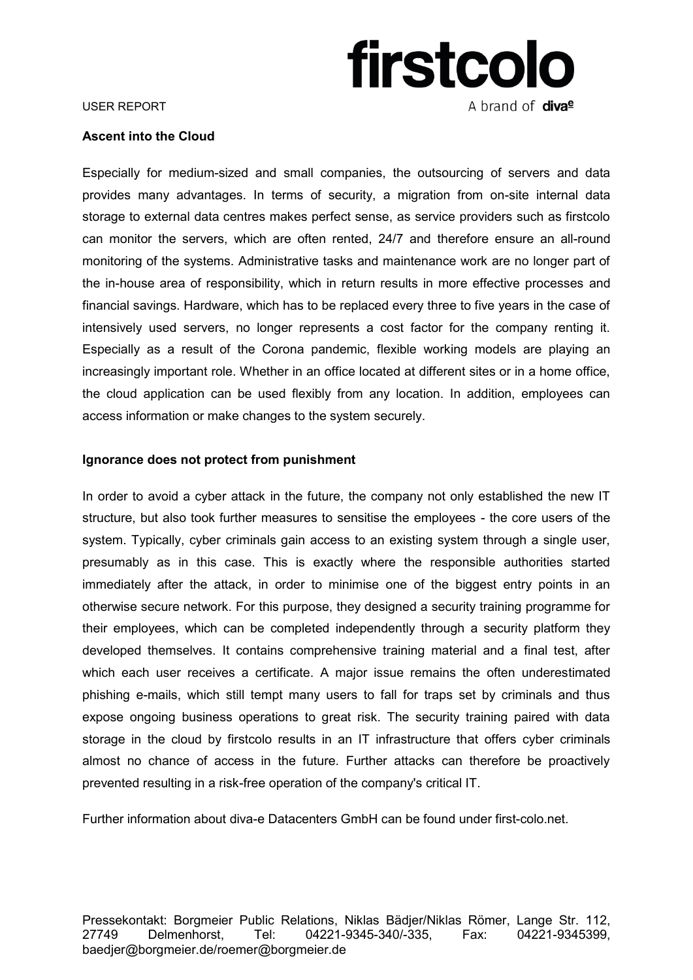

### USER REPORT

# **Ascent into the Cloud**

Especially for medium-sized and small companies, the outsourcing of servers and data provides many advantages. In terms of security, a migration from on-site internal data storage to external data centres makes perfect sense, as service providers such as firstcolo can monitor the servers, which are often rented, 24/7 and therefore ensure an all-round monitoring of the systems. Administrative tasks and maintenance work are no longer part of the in-house area of responsibility, which in return results in more effective processes and financial savings. Hardware, which has to be replaced every three to five years in the case of intensively used servers, no longer represents a cost factor for the company renting it. Especially as a result of the Corona pandemic, flexible working models are playing an increasingly important role. Whether in an office located at different sites or in a home office, the cloud application can be used flexibly from any location. In addition, employees can access information or make changes to the system securely.

# **Ignorance does not protect from punishment**

In order to avoid a cyber attack in the future, the company not only established the new IT structure, but also took further measures to sensitise the employees - the core users of the system. Typically, cyber criminals gain access to an existing system through a single user, presumably as in this case. This is exactly where the responsible authorities started immediately after the attack, in order to minimise one of the biggest entry points in an otherwise secure network. For this purpose, they designed a security training programme for their employees, which can be completed independently through a security platform they developed themselves. It contains comprehensive training material and a final test, after which each user receives a certificate. A major issue remains the often underestimated phishing e-mails, which still tempt many users to fall for traps set by criminals and thus expose ongoing business operations to great risk. The security training paired with data storage in the cloud by firstcolo results in an IT infrastructure that offers cyber criminals almost no chance of access in the future. Further attacks can therefore be proactively prevented resulting in a risk-free operation of the company's critical IT.

Further information about diva-e Datacenters GmbH can be found under first-colo.net.

Pressekontakt: Borgmeier Public Relations, Niklas Bädjer/Niklas Römer, Lange Str. 112, 27749 Delmenhorst, Tel: 04221-9345-340/-335, Fax: 04221-9345399, baedjer@borgmeier.de/roemer@borgmeier.de